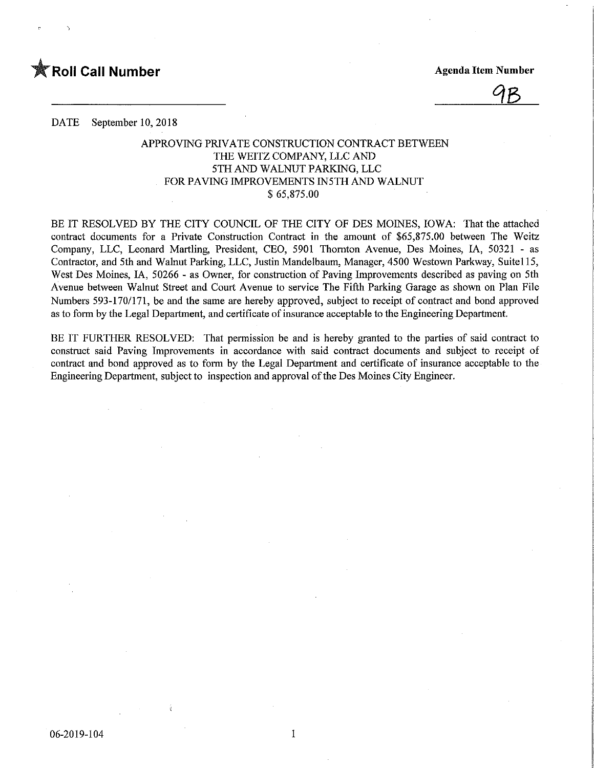

<u>9B</u>

DATE September 10, 2018

## APPROVING PRIVATE CONSTRUCTION CONTRACT BETWEEN THE WEITZ COMPANY, LLC AND 5TH AND WALNUT PARKING, LLC FOR PAVING IMPROVEMENTS IN5TH AND WALNUT \$ 65,875.00

BE IT RESOLVED BY THE CITY COUNCIL OF THE CITY OF DES MOINES, IOWA: That the attached contract documents for a Private Construction Contract in the amount of \$65,875.00 between The Weitz Company, LLC, Leonard Martling, President, CEO, 5901 Thomton Avenue, Des Moines, IA, 50321 - as Contractor, and 5th and Walnut Parking, LLC, Justin Mandelbaum, Manager, 4500 Westown Parkway, Suitel 15, West Des Moines, IA, 50266 - as Owner, for construction of Paving Improvements described as paving on 5th Avenue between Walnut Street and Court Avenue to service The Fifth Parking Garage as shown on Plan File Numbers 593-170/171, be and the same are hereby approved, subject to receipt of contract and bond approved as to form by the Legal Department, and certificate of insurance acceptable to the Engineering Department.

BE IT FURTHER RESOLVED: That permission be and is hereby granted to the parties of said contract to construct said Paving Improvements in accordance with said contract documents and subject to receipt of contract and bond approved as to form by the Legal Department and certificate of insurance acceptable to the Engineering Department, subject to inspection and approval of the Des Moines City Engineer.

 $\mathbf{1}$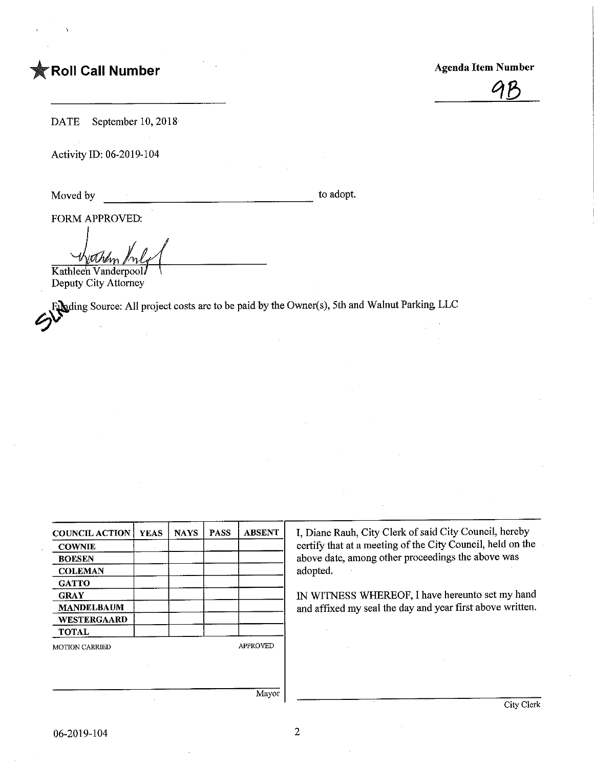## **The Roll Call Number Agents Contained Agents Agents Agents Agents Agents Agents Agents Agents Agents Agents Agents Agents Agents Agents Agents Agents Agents Agents Agents Agents Agents Agents Agents Agents Agents Agents A**



DATE September 10, 2018

Activity ID: 06-2019-104

Moved by to adopt.

FORM APPROVED:

Kathlee'n Vanderpool Deputy City Attorney

Fading Source: All project costs are to be paid by the Owner(s), 5th and Walnut Parking LLC<br>
Solution Source: All project costs are to be paid by the Owner(s), 5th and Walnut Parking LLC

| <b>COUNCIL ACTION</b> | <b>YEAS</b> | <b>NAYS</b> | <b>PASS</b> | <b>ABSENT</b>   | I, Diane Rauh, City Clerk of said City Council, hereby                                                          |  |  |
|-----------------------|-------------|-------------|-------------|-----------------|-----------------------------------------------------------------------------------------------------------------|--|--|
| <b>COWNIE</b>         |             |             |             |                 | certify that at a meeting of the City Council, held on the<br>above date, among other proceedings the above was |  |  |
| <b>BOESEN</b>         |             |             |             |                 |                                                                                                                 |  |  |
| <b>COLEMAN</b>        |             |             |             |                 | adopted.                                                                                                        |  |  |
| <b>GATTO</b>          |             |             |             |                 |                                                                                                                 |  |  |
| <b>GRAY</b>           |             |             |             |                 | IN WITNESS WHEREOF, I have hereunto set my hand                                                                 |  |  |
| <b>MANDELBAUM</b>     |             |             |             |                 | and affixed my seal the day and year first above written.                                                       |  |  |
| <b>WESTERGAARD</b>    |             |             |             |                 |                                                                                                                 |  |  |
| <b>TOTAL</b>          |             |             |             |                 |                                                                                                                 |  |  |
| <b>MOTION CARRIED</b> |             |             |             | <b>APPROVED</b> |                                                                                                                 |  |  |
|                       |             |             |             |                 |                                                                                                                 |  |  |
|                       |             |             |             |                 |                                                                                                                 |  |  |
|                       |             |             |             |                 |                                                                                                                 |  |  |
|                       |             |             |             | Mavor           |                                                                                                                 |  |  |

06-2019-104

 $\sqrt{2}$